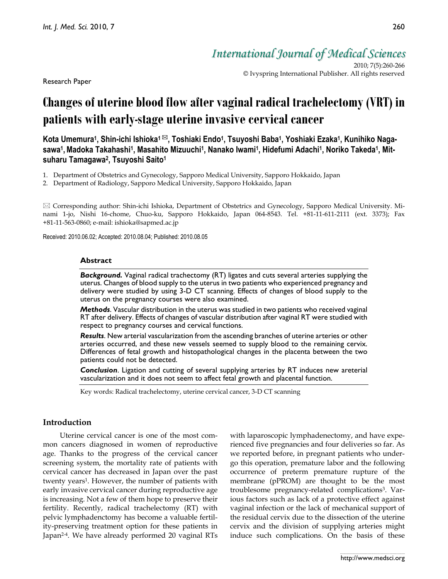Research Paper

*International Journal of Medical Sciences*

2010; 7(5):260-266 © Ivyspring International Publisher. All rights reserved

# **Changes of uterine blood flow after vaginal radical trachelectomy (VRT) in patients with early-stage uterine invasive cervical cancer**

Kota Umemura<sup>1</sup>, Shin-ichi Ishioka<sup>1⊠</sup>, Toshiaki Endo<sup>1</sup>, Tsuyoshi Baba<sup>1</sup>, Yoshiaki Ezaka<sup>1</sup>, Kunihiko Naga**sawa1,Madoka Takahashi1, Masahito Mizuuchi1, Nanako Iwami1, Hidefumi Adachi1, Noriko Takeda1, Mitsuharu Tamagawa2, Tsuyoshi Saito1** 

1. Department of Obstetrics and Gynecology, Sapporo Medical University, Sapporo Hokkaido, Japan

2. Department of Radiology, Sapporo Medical University, Sapporo Hokkaido, Japan

 $\boxtimes$  Corresponding author: Shin-ichi Ishioka, Department of Obstetrics and Gynecology, Sapporo Medical University. Minami 1-jo, Nishi 16-chome, Chuo-ku, Sapporo Hokkaido, Japan 064-8543. Tel. +81-11-611-2111 (ext. 3373); Fax +81-11-563-0860; e-mail: ishioka@sapmed.ac.jp

Received: 2010.06.02; Accepted: 2010.08.04; Published: 2010.08.05

## **Abstract**

*Background.* Vaginal radical trachectomy (RT) ligates and cuts several arteries supplying the uterus. Changes of blood supply to the uterus in two patients who experienced pregnancy and delivery were studied by using 3-D CT scanning. Effects of changes of blood supply to the uterus on the pregnancy courses were also examined.

*Methods*. Vascular distribution in the uterus was studied in two patients who received vaginal RT after delivery. Effects of changes of vascular distribution after vaginal RT were studied with respect to pregnancy courses and cervical functions.

*Results*. New arterial vascularization from the ascending branches of uterine arteries or other arteries occurred, and these new vessels seemed to supply blood to the remaining cervix. Differences of fetal growth and histopathological changes in the placenta between the two patients could not be detected.

*Conclusion*. Ligation and cutting of several supplying arteries by RT induces new areterial vascularization and it does not seem to affect fetal growth and placental function.

Key words: Radical trachelectomy, uterine cervical cancer, 3-D CT scanning

## **Introduction**

Uterine cervical cancer is one of the most common cancers diagnosed in women of reproductive age. Thanks to the progress of the cervical cancer screening system, the mortality rate of patients with cervical cancer has decreased in Japan over the past twenty years<sup>1</sup>. However, the number of patients with early invasive cervical cancer during reproductive age is increasing. Not a few of them hope to preserve their fertility. Recently, radical trachelectomy (RT) with pelvic lymphadenctomy has become a valuable fertility-preserving treatment option for these patients in Japan2-4. We have already performed 20 vaginal RTs with laparoscopic lymphadenectomy, and have experienced five pregnancies and four deliveries so far. As we reported before, in pregnant patients who undergo this operation, premature labor and the following occurrence of preterm premature rupture of the membrane (pPROM) are thought to be the most troublesome pregnancy-related complications<sup>3</sup>. Various factors such as lack of a protective effect against vaginal infection or the lack of mechanical support of the residual cervix due to the dissection of the uterine cervix and the division of supplying arteries might induce such complications. On the basis of these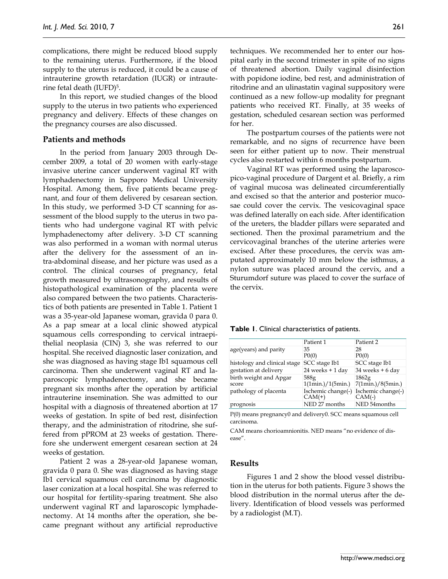complications, there might be reduced blood supply to the remaining uterus. Furthermore, if the blood supply to the uterus is reduced, it could be a cause of intrauterine growth retardation (IUGR) or intrauterine fetal death (IUFD)5.

In this report, we studied changes of the blood supply to the uterus in two patients who experienced pregnancy and delivery. Effects of these changes on the pregnancy courses are also discussed.

### **Patients and methods**

In the period from January 2003 through December 2009, a total of 20 women with early-stage invasive uterine cancer underwent vaginal RT with lymphadenectomy in Sapporo Medical University Hospital. Among them, five patients became pregnant, and four of them delivered by cesarean section. In this study, we performed 3-D CT scanning for assessment of the blood supply to the uterus in two patients who had undergone vaginal RT with pelvic lymphadenectomy after delivery. 3-D CT scanning was also performed in a woman with normal uterus after the delivery for the assessment of an intra-abdominal disease, and her picture was used as a control. The clinical courses of pregnancy, fetal growth measured by ultrasonography, and results of histopathological examination of the placenta were also compared between the two patients. Characteristics of both patients are presented in Table 1. Patient 1 was a 35-year-old Japanese woman, gravida 0 para 0. As a pap smear at a local clinic showed atypical squamous cells corresponding to cervical intraepithelial neoplasia (CIN) 3, she was referred to our hospital. She received diagnostic laser conization, and she was diagnosed as having stage Ib1 squamous cell carcinoma. Then she underwent vaginal RT and laparoscopic lymphadenectomy, and she became pregnant six months after the operation by artificial intrauterine insemination. She was admitted to our hospital with a diagnosis of threatened abortion at 17 weeks of gestation. In spite of bed rest, disinfection therapy, and the administration of ritodrine, she suffered from pPROM at 23 weeks of gestation. Therefore she underwent emergent cesarean section at 24 weeks of gestation.

Patient 2 was a 28-year-old Japanese woman, gravida 0 para 0. She was diagnosed as having stage Ib1 cervical squamous cell carcinoma by diagnostic laser conization at a local hospital. She was referred to our hospital for fertility-sparing treatment. She also underwent vaginal RT and laparoscopic lymphadenectomy. At 14 months after the operation, she became pregnant without any artificial reproductive

techniques. We recommended her to enter our hospital early in the second trimester in spite of no signs of threatened abortion. Daily vaginal disinfection with popidone iodine, bed rest, and administration of ritodrine and an ulinastatin vaginal suppository were continued as a new follow-up modality for pregnant patients who received RT. Finally, at 35 weeks of gestation, scheduled cesarean section was performed for her.

The postpartum courses of the patients were not remarkable, and no signs of recurrence have been seen for either patient up to now. Their menstrual cycles also restarted within 6 months postpartum.

Vaginal RT was performed using the laparoscopico-vaginal procedure of Dargent et al. Briefly, a rim of vaginal mucosa was delineated circumferentially and excised so that the anterior and posterior mucosae could cover the cervix. The vesicovaginal space was defined laterally on each side. After identification of the ureters, the bladder pillars were separated and sectioned. Then the proximal parametrium and the cervicovaginal branches of the uterine arteries were excised. After these procedures, the cervix was amputated approximately 10 mm below the isthmus, a nylon suture was placed around the cervix, and a Sturumdorf suture was placed to cover the surface of the cervix.

#### **Table 1**. Clinical characteristics of patients.

|                                 | Patient 1                      | Patient 2                      |
|---------------------------------|--------------------------------|--------------------------------|
| age(years) and parity           | 35<br>P <sub>0</sub> (0)       | 28<br>P <sub>0</sub> (0)       |
| histology and clinical stage    | SCC stage Ib1                  | SCC stage Ib1                  |
| gestation at delivery           | $24$ weeks + 1 day             | $34$ weeks + 6 day             |
| birth weight and Apgar<br>score | 588g<br>1(1min.)/1(5min.)      | 1862g<br>7(1min.)/8(5min.)     |
| pathology of placenta           | Ischemic change(-)<br>$CAM(+)$ | Ischemic change(-)<br>$CAM(-)$ |
| prognosis                       | NED 27 months                  | NED 54 months                  |

P(0) means pregnancy0 and delivery0. SCC means squamous cell carcinoma.

CAM means chorioamnionitis. NED means "no evidence of disease".

## **Results**

Figures 1 and 2 show the blood vessel distribution in the uterus for both patients. Figure 3 shows the blood distribution in the normal uterus after the delivery. Identification of blood vessels was performed by a radiologist (M.T).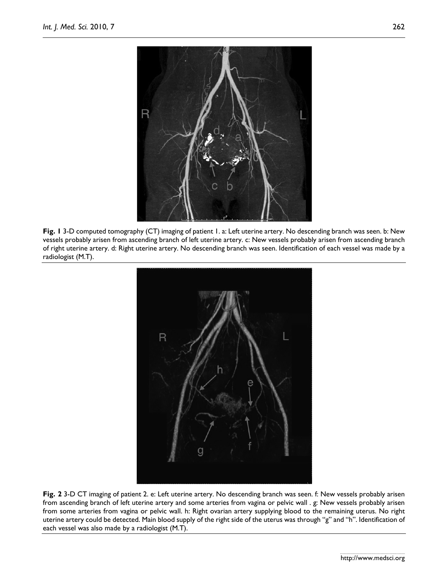

**Fig. 1** 3-D computed tomography (CT) imaging of patient 1. a: Left uterine artery. No descending branch was seen. b: New vessels probably arisen from ascending branch of left uterine artery. c: New vessels probably arisen from ascending branch of right uterine artery. d: Right uterine artery. No descending branch was seen. Identification of each vessel was made by a radiologist (M.T).



**Fig. 2** 3-D CT imaging of patient 2. e: Left uterine artery. No descending branch was seen. f: New vessels probably arisen from ascending branch of left uterine artery and some arteries from vagina or pelvic wall . g: New vessels probably arisen from some arteries from vagina or pelvic wall. h: Right ovarian artery supplying blood to the remaining uterus. No right uterine artery could be detected. Main blood supply of the right side of the uterus was through "g" and "h". Identification of each vessel was also made by a radiologist (M.T).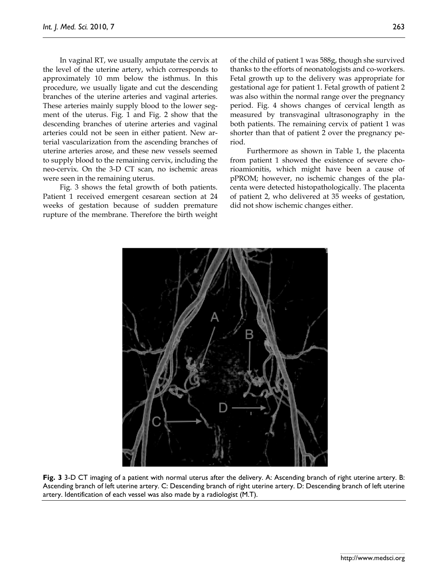In vaginal RT, we usually amputate the cervix at the level of the uterine artery, which corresponds to approximately 10 mm below the isthmus. In this procedure, we usually ligate and cut the descending branches of the uterine arteries and vaginal arteries. These arteries mainly supply blood to the lower segment of the uterus. Fig. 1 and Fig. 2 show that the descending branches of uterine arteries and vaginal arteries could not be seen in either patient. New arterial vascularization from the ascending branches of uterine arteries arose, and these new vessels seemed to supply blood to the remaining cervix, including the neo-cervix. On the 3-D CT scan, no ischemic areas were seen in the remaining uterus.

Fig. 3 shows the fetal growth of both patients. Patient 1 received emergent cesarean section at 24 weeks of gestation because of sudden premature rupture of the membrane. Therefore the birth weight of the child of patient 1 was 588g, though she survived thanks to the efforts of neonatologists and co-workers. Fetal growth up to the delivery was appropriate for gestational age for patient 1. Fetal growth of patient 2 was also within the normal range over the pregnancy period. Fig. 4 shows changes of cervical length as measured by transvaginal ultrasonography in the both patients. The remaining cervix of patient 1 was shorter than that of patient 2 over the pregnancy period.

Furthermore as shown in Table 1, the placenta from patient 1 showed the existence of severe chorioamionitis, which might have been a cause of pPROM; however, no ischemic changes of the placenta were detected histopathologically. The placenta of patient 2, who delivered at 35 weeks of gestation, did not show ischemic changes either.



**Fig. 3** 3-D CT imaging of a patient with normal uterus after the delivery. A: Ascending branch of right uterine artery. B: Ascending branch of left uterine artery. C: Descending branch of right uterine artery. D: Descending branch of left uterine artery. Identification of each vessel was also made by a radiologist (M.T).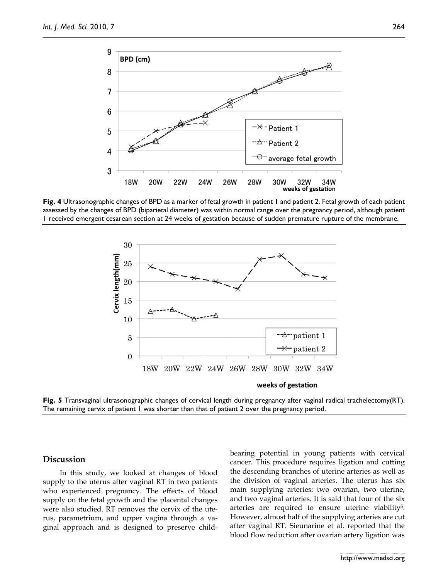

**Fig. 4** Ultrasonographic changes of BPD as a marker of fetal growth in patient 1 and patient 2. Fetal growth of each patient assessed by the changes of BPD (biparietal diameter) was within normal range over the pregnancy period, although patient 1 received emergent cesarean section at 24 weeks of gestation because of sudden premature rupture of the membrane.



**Fig. 5** Transvaginal ultrasonographic changes of cervical length during pregnancy after vaginal radical trachelectomy(RT). The remaining cervix of patient 1 was shorter than that of patient 2 over the pregnancy period.

## **Discussion**

In this study, we looked at changes of blood supply to the uterus after vaginal RT in two patients who experienced pregnancy. The effects of blood supply on the fetal growth and the placental changes were also studied. RT removes the cervix of the uterus, parametrium, and upper vagina through a vaginal approach and is designed to preserve childbearing potential in young patients with cervical cancer. This procedure requires ligation and cutting the descending branches of uterine arteries as well as the division of vaginal arteries. The uterus has six main supplying arteries: two ovarian, two uterine, and two vaginal arteries. It is said that four of the six arteries are required to ensure uterine viability<sup>5</sup>. However, almost half of the supplying arteries are cut after vaginal RT. Sieunarine et al. reported that the blood flow reduction after ovarian artery ligation was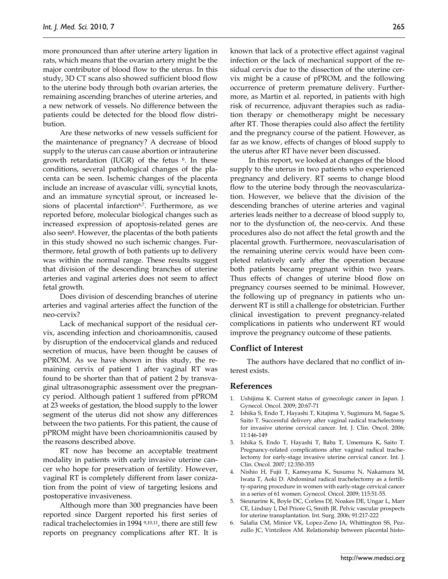more pronounced than after uterine artery ligation in rats, which means that the ovarian artery might be the major contributor of blood flow to the uterus. In this study, 3D CT scans also showed sufficient blood flow to the uterine body through both ovarian arteries, the remaining ascending branches of uterine arteries, and a new network of vessels. No difference between the patients could be detected for the blood flow distribution.

Are these networks of new vessels sufficient for the maintenance of pregnancy? A decrease of blood supply to the uterus can cause abortion or intrauterine growth retardation (IUGR) of the fetus 6. In these conditions, several pathological changes of the placenta can be seen. Ischemic changes of the placenta include an increase of avascular villi, syncytial knots, and an immature syncytial sprout, or increased lesions of placental infarction<sup>6,7</sup>. Furthermore, as we reported before, molecular biological changes such as increased expression of apoptosis-related genes are also seen<sup>8</sup>. However, the placentas of the both patients in this study showed no such ischemic changes. Furthermore, fetal growth of both patients up to delivery was within the normal range. These results suggest that division of the descending branches of uterine arteries and vaginal arteries does not seem to affect fetal growth.

Does division of descending branches of uterine arteries and vaginal arteries affect the function of the neo-cervix?

Lack of mechanical support of the residual cervix, ascending infection and chorioamnonitis, caused by disruption of the endocervical glands and reduced secretion of mucus, have been thought be causes of pPROM. As we have shown in this study, the remaining cervix of patient 1 after vaginal RT was found to be shorter than that of patient 2 by transvaginal ultrasonographic assessment over the pregnancy period. Although patient 1 suffered from pPROM at 23 weeks of gestation, the blood supply to the lower segment of the uterus did not show any differences between the two patients. For this patient, the cause of pPROM might have been chorioamnionitis caused by the reasons described above.

RT now has become an acceptable treatment modality in patients with early invasive uterine cancer who hope for preservation of fertility. However, vaginal RT is completely different from laser conization from the point of view of targeting lesions and postoperative invasiveness.

Although more than 300 pregnancies have been reported since Dargent reported his first series of radical trachelectomies in 1994 9,10,11, there are still few reports on pregnancy complications after RT. It is

known that lack of a protective effect against vaginal infection or the lack of mechanical support of the residual cervix due to the dissection of the uterine cervix might be a cause of pPROM, and the following occurrence of preterm premature delivery. Furthermore, as Martin et al. reported, in patients with high risk of recurrence, adjuvant therapies such as radiation therapy or chemotherapy might be necessary after RT. Those therapies could also affect the fertility and the pregnancy course of the patient. However, as far as we know, effects of changes of blood supply to the uterus after RT have never been discussed.

 In this report, we looked at changes of the blood supply to the uterus in two patients who experienced pregnancy and delivery. RT seems to change blood flow to the uterine body through the neovascularization. However, we believe that the division of the descending branches of uterine arteries and vaginal arteries leads neither to a decrease of blood supply to, nor to the dysfunction of, the neo-cervix. And these procedures also do not affect the fetal growth and the placental growth. Furthermore, neovascularisation of the remaining uterine cervix would have been completed relatively early after the operation because both patients became pregnant within two years. Thus effects of changes of uterine blood flow on pregnancy courses seemed to be minimal. However, the following up of pregnancy in patients who underwent RT is still a challenge for obstetrician. Further clinical investigation to prevent pregnancy-related complications in patients who underwent RT would improve the pregnancy outcome of these patients.

## **Conflict of Interest**

The authors have declared that no conflict of interest exists.

#### **References**

- 1. Ushijima K. Current status of gynecologic cancer in Japan. J. Gynecol. Oncol. 2009; 20:67-71
- 2. Ishika S, Endo T, Hayashi T, Kitajima Y, Sugimura M, Sagae S, Saito T. Successful delivery after vaginal radical trachelectomy for invasive uterine cervical cancer. Int. J. Clin. Oncol. 2006; 11:146-149
- 3. Ishika S, Endo T, Hayashi T, Baba T, Umemura K, Saito T. Pregnancy-related complications after vaginal radical trachelectomy for early-stage invasive uterine cervical cancer. Int. J. Clin. Oncol. 2007; 12:350-355
- 4. Nishio H, Fujii T, Kameyama K, Susumu N, Nakamura M, Iwata T, Aoki D. Abdominal radical trachelectomy as a fertility-sparing procedure in women with early-stage cervical cancer in a series of 61 women. Gynecol. Oncol. 2009; 115:51-55.
- 5. Sieunarine K, Boyle DC, Corless DJ, Noakes DE, Ungar L, Marr CE, Lindsay I, Del Priore G, Smith JR. Pelvic vascular prospects for uterine transplantation. Int. Surg. 2006; 91:217-222
- 6. Salafia CM, Minior VK, Lopez-Zeno JA, Whittington SS, Pezzullo JC, Vintzileos AM. Relationship between placental histo-